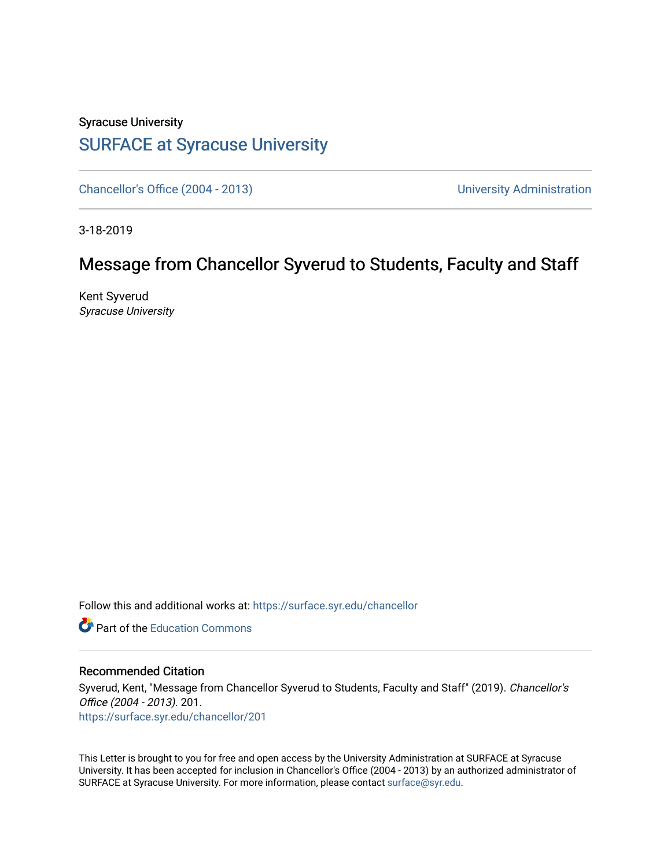## Syracuse University [SURFACE at Syracuse University](https://surface.syr.edu/)

[Chancellor's Office \(2004 - 2013\)](https://surface.syr.edu/chancellor) Chancellor's Office (2004 - 2013)

3-18-2019

## Message from Chancellor Syverud to Students, Faculty and Staff

Kent Syverud Syracuse University

Follow this and additional works at: [https://surface.syr.edu/chancellor](https://surface.syr.edu/chancellor?utm_source=surface.syr.edu%2Fchancellor%2F201&utm_medium=PDF&utm_campaign=PDFCoverPages) 

**C** Part of the [Education Commons](http://network.bepress.com/hgg/discipline/784?utm_source=surface.syr.edu%2Fchancellor%2F201&utm_medium=PDF&utm_campaign=PDFCoverPages)

## Recommended Citation

Syverud, Kent, "Message from Chancellor Syverud to Students, Faculty and Staff" (2019). Chancellor's Office (2004 - 2013). 201. [https://surface.syr.edu/chancellor/201](https://surface.syr.edu/chancellor/201?utm_source=surface.syr.edu%2Fchancellor%2F201&utm_medium=PDF&utm_campaign=PDFCoverPages) 

This Letter is brought to you for free and open access by the University Administration at SURFACE at Syracuse University. It has been accepted for inclusion in Chancellor's Office (2004 - 2013) by an authorized administrator of SURFACE at Syracuse University. For more information, please contact [surface@syr.edu.](mailto:surface@syr.edu)